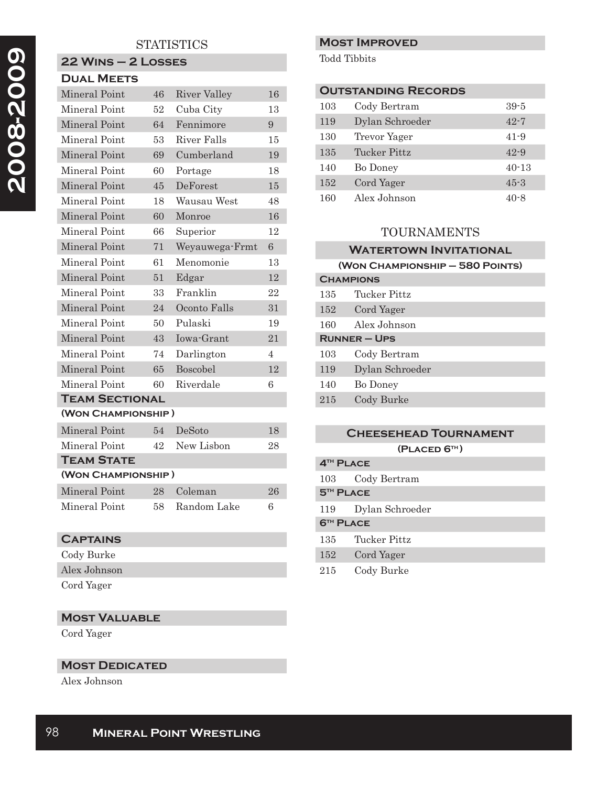# **STATISTICS**

#### **22 Wins – 2 Losses Dual Meets**

| 46                    | <b>River Valley</b> | 16                 |  |
|-----------------------|---------------------|--------------------|--|
| 52                    | Cuba City           | 13                 |  |
| 64                    | Fennimore           | 9                  |  |
| 53                    | River Falls         | 15                 |  |
| 69                    | Cumberland          | 19                 |  |
| 60                    | Portage             | 18                 |  |
| 45                    | DeForest            | 15                 |  |
| 18                    | Wausau West         | 48                 |  |
| 60                    | Monroe              | 16                 |  |
| 66                    | Superior            | 12                 |  |
| 71                    | Weyauwega-Frmt      | 6 <sup>1</sup>     |  |
| 61                    | Menomonie           | 13                 |  |
| 51                    | Edgar               | 12                 |  |
| 33                    | Franklin            | 22                 |  |
| 24                    | Oconto Falls        | 31                 |  |
| 50                    | Pulaski             | 19                 |  |
| 43                    | Iowa-Grant          | 21                 |  |
| 74                    | Darlington          | $\overline{4}$     |  |
| 65                    | Boscobel            | 12                 |  |
| 60                    | Riverdale           | 6                  |  |
| <b>TEAM SECTIONAL</b> |                     |                    |  |
|                       |                     |                    |  |
| 54                    | DeSoto              | 18                 |  |
| 42                    | New Lisbon          | 28                 |  |
|                       |                     | (WON CHAMPIONSHIP) |  |

| <b>TEAM STATE</b>  |  |                |    |
|--------------------|--|----------------|----|
| (WON CHAMPIONSHIP) |  |                |    |
| Mineral Point      |  | 28 Coleman     | 26 |
| Mineral Point      |  | 58 Random Lake | в  |

## **Captains**

Cody Burke

Alex Johnson

Cord Yager

# **Most Valuable**

Cord Yager

### **MOST DEDICATED**

Alex Johnson

#### **Most Improved**

Todd Tibbits

| <b>OUTSTANDING RECORDS</b> |                 |           |
|----------------------------|-----------------|-----------|
| 103                        | Cody Bertram    | $39 - 5$  |
| 119                        | Dylan Schroeder | $42 - 7$  |
| 130                        | Trevor Yager    | $41 - 9$  |
| 135                        | Tucker Pittz    | $42 - 9$  |
| 140                        | Bo Doney        | $40 - 13$ |
| 152                        | Cord Yager      | $45 - 3$  |
| 160                        | Alex Johnson    | $40 - 8$  |

### TOURNAMENTS

| <b>WATERTOWN INVITATIONAL</b>   |  |  |
|---------------------------------|--|--|
| (WON CHAMPIONSHIP - 580 POINTS) |  |  |
| <b>CHAMPIONS</b>                |  |  |
| Tucker Pittz                    |  |  |
| Cord Yager                      |  |  |
| Alex Johnson                    |  |  |
| <b>RUNNER-UPS</b>               |  |  |
| Cody Bertram                    |  |  |
| Dylan Schroeder                 |  |  |
| Bo Doney                        |  |  |
| Cody Burke                      |  |  |
|                                 |  |  |

| <b>CHEESEHEAD TOURNAMENT</b> |                 |  |
|------------------------------|-----------------|--|
|                              | (PLACED 6TH)    |  |
| 4 <sup>TH</sup> PLACE        |                 |  |
| 103                          | Cody Bertram    |  |
| <b>5<sup>TH</sup> PLACE</b>  |                 |  |
| 119                          | Dylan Schroeder |  |
| <b>6TH PLACE</b>             |                 |  |
| 135                          | Tucker Pittz    |  |
| 152                          | Cord Yager      |  |
| 215                          | Cody Burke      |  |